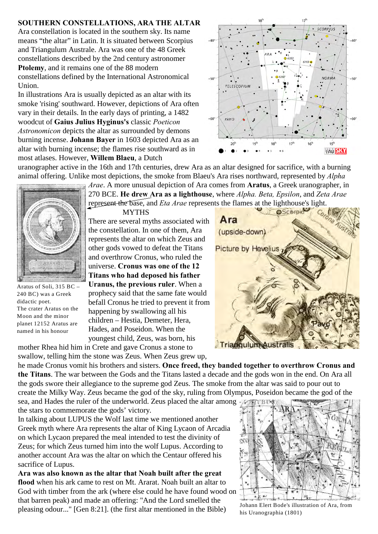## **SOUTHERN CONSTELLATIONS, ARA THE ALTAR**

Ara constellation is located in the southern sky. Its name means "the altar" in Latin. It is situated between Scorpius and Triangulum Australe. Ara was one of the 48 Greek constellations described by the 2nd century astronomer **Ptolemy**, and it remains one of the 88 modern constellations defined by the International Astronomical Union.

In illustrations Ara is usually depicted as an altar with its smoke 'rising' southward. However, depictions of Ara often vary in their details. In the early days of printing, a 1482 woodcut of **Gaius Julius Hyginus's** classic *Poeticon Astronomicon* depicts the altar as surrounded by demons burning incense. **Johann Bayer** in 1603 depicted Ara as an altar with burning incense; the flames rise southward as in most atlases. However, **Willem Blaeu**, a Dutch



uranographer active in the 16th and 17th centuries, drew Ara as an altar designed for sacrifice, with a burning animal offering. Unlike most depictions, the smoke from Blaeu's Ara rises northward, represented by *Alpha*

Aratus of Soli, 315 BC – 240 BC) was a Greek didactic poet. The crater Aratus on the Moon and the minor planet 12152 Aratus are named in his honour

*Arae*. A more unusual depiction of Ara comes from **Aratus**, a Greek uranographer, in 270 BCE. **He drew Ara as a lighthouse**, where *Alpha. Beta, Epsilon*, and *Zeta Arae* represent the base, and *Eta Arae* represents the flames at the lighthouse's light.

**MYTHS** There are several myths associated with the constellation. In one of them, Ara represents the altar on which Zeus and other gods vowed to defeat the Titans and overthrow Cronus, who ruled the universe. **Cronus was one of the 12 Titans who had deposed his father Uranus, the previous ruler**. When a prophecy said that the same fate would befall Cronus he tried to prevent it from happening by swallowing all his children – Hestia, Demeter, Hera, Hades, and Poseidon. When the youngest child, Zeus, was born, his

**@Scorpio** Ara (upside-down) **Picture by Hevelius** Triangulum Australis

mother Rhea hid him in Crete and gave Cronus a stone to swallow, telling him the stone was Zeus. When Zeus grew up,

he made Cronus vomit his brothers and sisters. **Once freed, they banded together to overthrow Cronus and the Titans**. The war between the Gods and the Titans lasted a decade and the gods won in the end. On Ara all the gods swore their allegiance to the supreme god Zeus. The smoke from the altar was said to pour out to create the Milky Way. Zeus became the god of the sky, ruling from Olympus, Poseidon became the god of the

sea, and Hades the ruler of the underworld. Zeus placed the altar among the stars to commemorate the gods' victory.

In talking about LUPUS the Wolf last time we mentioned another Greek myth where Ara represents the altar of King Lycaon of Arcadia on which Lycaon prepared the meal intended to test the divinity of Zeus; for which Zeus turned him into the wolf Lupus. According to another account Ara was the altar on which the Centaur offered his sacrifice of Lupus.

**Ara was also known as the altar that Noah built after the great flood** when his ark came to rest on Mt. Ararat. Noah built an altar to God with timber from the ark (where else could he have found wood on that barren peak) and made an offering: "And the Lord smelled the pleasing odour..." [Gen 8:21]. (the first altar mentioned in the Bible)



Johann Elert Bode's illustration of Ara, from his Uranographia (1801)